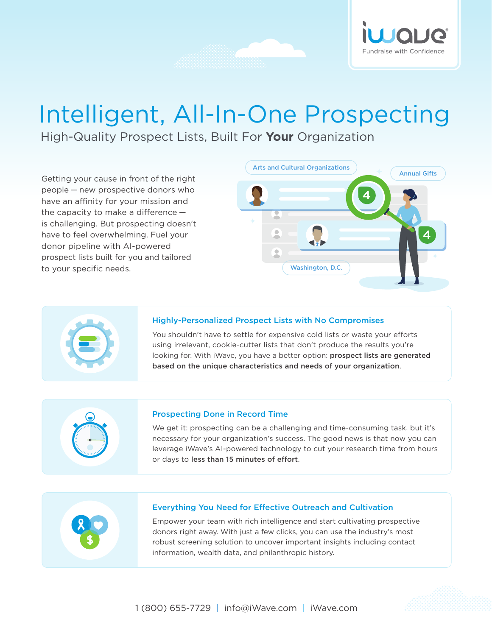

# Intelligent, All-In-One Prospecting

High-Quality Prospect Lists, Built For **Your** Organization

Getting your cause in front of the right people — new prospective donors who have an affinity for your mission and the capacity to make a difference  $$ is challenging. But prospecting doesn't have to feel overwhelming. Fuel your donor pipeline with AI-powered prospect lists built for you and tailored to your specific needs.





#### Highly-Personalized Prospect Lists with No Compromises

You shouldn't have to settle for expensive cold lists or waste your efforts using irrelevant, cookie-cutter lists that don't produce the results you're looking for. With iWave, you have a better option: prospect lists are generated based on the unique characteristics and needs of your organization.



#### Prospecting Done in Record Time

We get it: prospecting can be a challenging and time-consuming task, but it's necessary for your organization's success. The good news is that now you can leverage iWave's AI-powered technology to cut your research time from hours or days to less than 15 minutes of effort.



#### Everything You Need for Effective Outreach and Cultivation

Empower your team with rich intelligence and start cultivating prospective donors right away. With just a few clicks, you can use the industry's most robust screening solution to uncover important insights including contact information, wealth data, and philanthropic history.